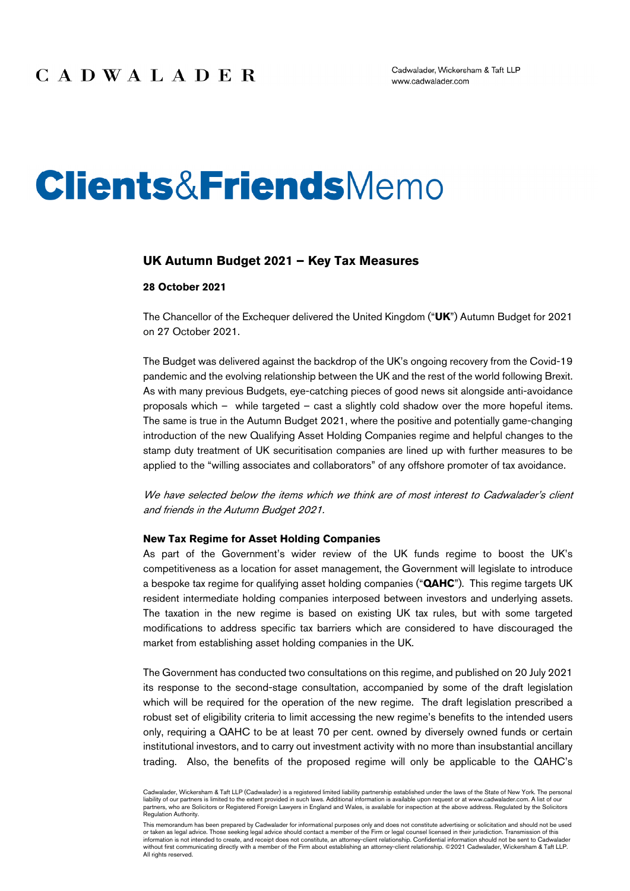# **Clients&FriendsMemo**

#### **UK Autumn Budget 2021 – Key Tax Measures**

#### **28 October 2021**

The Chancellor of the Exchequer delivered the United Kingdom ("**UK**") Autumn Budget for 2021 on 27 October 2021.

The Budget was delivered against the backdrop of the UK's ongoing recovery from the Covid-19 pandemic and the evolving relationship between the UK and the rest of the world following Brexit. As with many previous Budgets, eye-catching pieces of good news sit alongside anti-avoidance proposals which – while targeted – cast a slightly cold shadow over the more hopeful items. The same is true in the Autumn Budget 2021, where the positive and potentially game-changing introduction of the new Qualifying Asset Holding Companies regime and helpful changes to the stamp duty treatment of UK securitisation companies are lined up with further measures to be applied to the "willing associates and collaborators" of any offshore promoter of tax avoidance.

We have selected below the items which we think are of most interest to Cadwalader's client and friends in the Autumn Budget 2021.

#### **New Tax Regime for Asset Holding Companies**

As part of the Government's wider review of the UK funds regime to boost the UK's competitiveness as a location for asset management, the Government will legislate to introduce a bespoke tax regime for qualifying asset holding companies ("**QAHC**"). This regime targets UK resident intermediate holding companies interposed between investors and underlying assets. The taxation in the new regime is based on existing UK tax rules, but with some targeted modifications to address specific tax barriers which are considered to have discouraged the market from establishing asset holding companies in the UK.

The Government has conducted two consultations on this regime, and published on 20 July 2021 its response to the second-stage consultation, accompanied by some of the draft legislation which will be required for the operation of the new regime. The draft legislation prescribed a robust set of eligibility criteria to limit accessing the new regime's benefits to the intended users only, requiring a QAHC to be at least 70 per cent. owned by diversely owned funds or certain institutional investors, and to carry out investment activity with no more than insubstantial ancillary trading. Also, the benefits of the proposed regime will only be applicable to the QAHC's

Cadwalader, Wickersham & Taft LLP (Cadwalader) is a registered limited liability partnership established under the laws of the State of New York. The personal liability of our partners is limited to the extent provided in such laws. Additional information is available upon request or at www.cadwalader.com. A list of our partners, who are Solicitors or Registered Foreign Lawyers in England and Wales, is available for inspection at the above address. Regulated by the Solicitors Regulation Authority.

This memorandum has been prepared by Cadwalader for informational purposes only and does not constitute advertising or solicitation and should not be used or taken as legal advice. Those seeking legal advice should contact a member of the Firm or legal counsel licensed in their jurisdiction. Transmission of this information is not intended to create, and receipt does not constitute, an attorney-client relationship. Confidential information should not be sent to Cadwalader<br>without first communicating directly with a member of the F All rights reserved.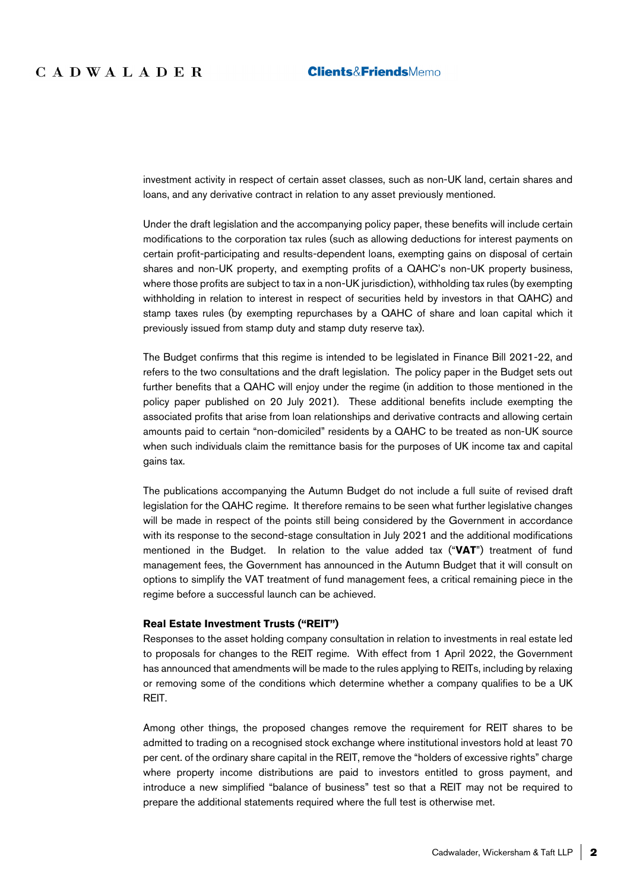investment activity in respect of certain asset classes, such as non-UK land, certain shares and loans, and any derivative contract in relation to any asset previously mentioned.

Under the draft legislation and the accompanying policy paper, these benefits will include certain modifications to the corporation tax rules (such as allowing deductions for interest payments on certain profit-participating and results-dependent loans, exempting gains on disposal of certain shares and non-UK property, and exempting profits of a QAHC's non-UK property business, where those profits are subject to tax in a non-UK jurisdiction), withholding tax rules (by exempting withholding in relation to interest in respect of securities held by investors in that QAHC) and stamp taxes rules (by exempting repurchases by a QAHC of share and loan capital which it previously issued from stamp duty and stamp duty reserve tax).

The Budget confirms that this regime is intended to be legislated in Finance Bill 2021-22, and refers to the two consultations and the draft legislation. The policy paper in the Budget sets out further benefits that a QAHC will enjoy under the regime (in addition to those mentioned in the policy paper published on 20 July 2021). These additional benefits include exempting the associated profits that arise from loan relationships and derivative contracts and allowing certain amounts paid to certain "non-domiciled" residents by a QAHC to be treated as non-UK source when such individuals claim the remittance basis for the purposes of UK income tax and capital gains tax.

The publications accompanying the Autumn Budget do not include a full suite of revised draft legislation for the QAHC regime. It therefore remains to be seen what further legislative changes will be made in respect of the points still being considered by the Government in accordance with its response to the second-stage consultation in July 2021 and the additional modifications mentioned in the Budget. In relation to the value added tax ("**VAT**") treatment of fund management fees, the Government has announced in the Autumn Budget that it will consult on options to simplify the VAT treatment of fund management fees, a critical remaining piece in the regime before a successful launch can be achieved.

#### **Real Estate Investment Trusts ("REIT")**

Responses to the asset holding company consultation in relation to investments in real estate led to proposals for changes to the REIT regime. With effect from 1 April 2022, the Government has announced that amendments will be made to the rules applying to REITs, including by relaxing or removing some of the conditions which determine whether a company qualifies to be a UK REIT.

Among other things, the proposed changes remove the requirement for REIT shares to be admitted to trading on a recognised stock exchange where institutional investors hold at least 70 per cent. of the ordinary share capital in the REIT, remove the "holders of excessive rights" charge where property income distributions are paid to investors entitled to gross payment, and introduce a new simplified "balance of business" test so that a REIT may not be required to prepare the additional statements required where the full test is otherwise met.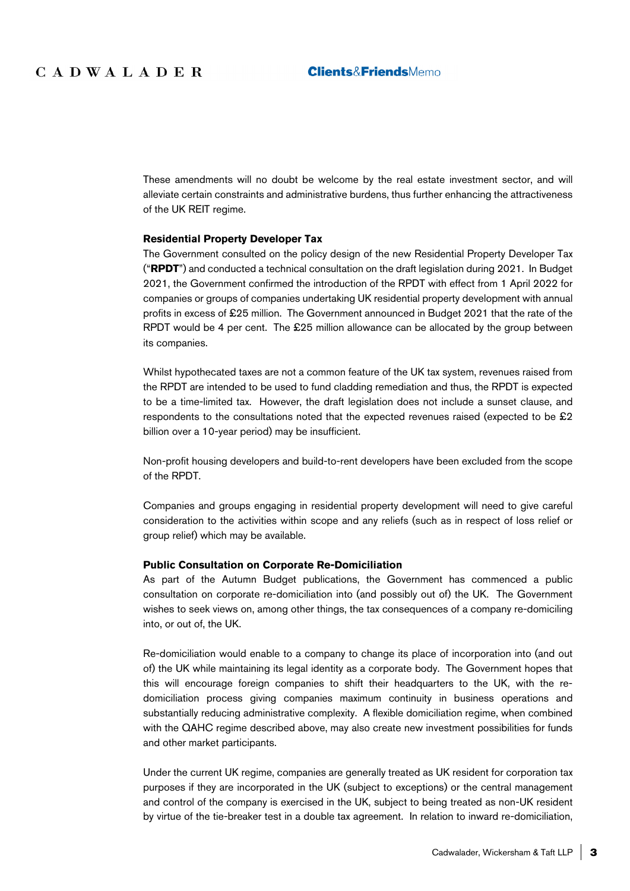These amendments will no doubt be welcome by the real estate investment sector, and will alleviate certain constraints and administrative burdens, thus further enhancing the attractiveness of the UK REIT regime.

#### **Residential Property Developer Tax**

The Government consulted on the policy design of the new Residential Property Developer Tax ("**RPDT**") and conducted a technical consultation on the draft legislation during 2021. In Budget 2021, the Government confirmed the introduction of the RPDT with effect from 1 April 2022 for companies or groups of companies undertaking UK residential property development with annual profits in excess of £25 million. The Government announced in Budget 2021 that the rate of the RPDT would be 4 per cent. The £25 million allowance can be allocated by the group between its companies.

Whilst hypothecated taxes are not a common feature of the UK tax system, revenues raised from the RPDT are intended to be used to fund cladding remediation and thus, the RPDT is expected to be a time-limited tax. However, the draft legislation does not include a sunset clause, and respondents to the consultations noted that the expected revenues raised (expected to be £2 billion over a 10-year period) may be insufficient.

Non-profit housing developers and build-to-rent developers have been excluded from the scope of the RPDT.

Companies and groups engaging in residential property development will need to give careful consideration to the activities within scope and any reliefs (such as in respect of loss relief or group relief) which may be available.

#### **Public Consultation on Corporate Re-Domiciliation**

As part of the Autumn Budget publications, the Government has commenced a public consultation on corporate re-domiciliation into (and possibly out of) the UK. The Government wishes to seek views on, among other things, the tax consequences of a company re-domiciling into, or out of, the UK.

Re-domiciliation would enable to a company to change its place of incorporation into (and out of) the UK while maintaining its legal identity as a corporate body. The Government hopes that this will encourage foreign companies to shift their headquarters to the UK, with the redomiciliation process giving companies maximum continuity in business operations and substantially reducing administrative complexity. A flexible domiciliation regime, when combined with the QAHC regime described above, may also create new investment possibilities for funds and other market participants.

Under the current UK regime, companies are generally treated as UK resident for corporation tax purposes if they are incorporated in the UK (subject to exceptions) or the central management and control of the company is exercised in the UK, subject to being treated as non-UK resident by virtue of the tie-breaker test in a double tax agreement. In relation to inward re-domiciliation,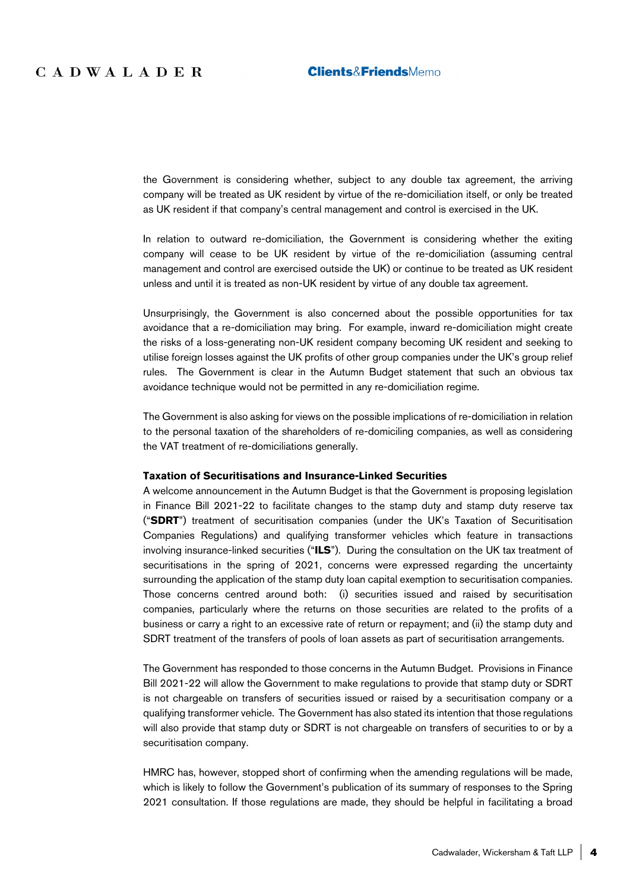the Government is considering whether, subject to any double tax agreement, the arriving company will be treated as UK resident by virtue of the re-domiciliation itself, or only be treated as UK resident if that company's central management and control is exercised in the UK.

In relation to outward re-domiciliation, the Government is considering whether the exiting company will cease to be UK resident by virtue of the re-domiciliation (assuming central management and control are exercised outside the UK) or continue to be treated as UK resident unless and until it is treated as non-UK resident by virtue of any double tax agreement.

Unsurprisingly, the Government is also concerned about the possible opportunities for tax avoidance that a re-domiciliation may bring. For example, inward re-domiciliation might create the risks of a loss-generating non-UK resident company becoming UK resident and seeking to utilise foreign losses against the UK profits of other group companies under the UK's group relief rules. The Government is clear in the Autumn Budget statement that such an obvious tax avoidance technique would not be permitted in any re-domiciliation regime.

The Government is also asking for views on the possible implications of re-domiciliation in relation to the personal taxation of the shareholders of re-domiciling companies, as well as considering the VAT treatment of re-domiciliations generally.

#### **Taxation of Securitisations and Insurance-Linked Securities**

A welcome announcement in the Autumn Budget is that the Government is proposing legislation in Finance Bill 2021-22 to facilitate changes to the stamp duty and stamp duty reserve tax ("**SDRT**") treatment of securitisation companies (under the UK's Taxation of Securitisation Companies Regulations) and qualifying transformer vehicles which feature in transactions involving insurance-linked securities ("**ILS**"). During the consultation on the UK tax treatment of securitisations in the spring of 2021, concerns were expressed regarding the uncertainty surrounding the application of the stamp duty loan capital exemption to securitisation companies. Those concerns centred around both: (i) securities issued and raised by securitisation companies, particularly where the returns on those securities are related to the profits of a business or carry a right to an excessive rate of return or repayment; and (ii) the stamp duty and SDRT treatment of the transfers of pools of loan assets as part of securitisation arrangements.

The Government has responded to those concerns in the Autumn Budget. Provisions in Finance Bill 2021-22 will allow the Government to make regulations to provide that stamp duty or SDRT is not chargeable on transfers of securities issued or raised by a securitisation company or a qualifying transformer vehicle. The Government has also stated its intention that those regulations will also provide that stamp duty or SDRT is not chargeable on transfers of securities to or by a securitisation company.

HMRC has, however, stopped short of confirming when the amending regulations will be made, which is likely to follow the Government's publication of its summary of responses to the Spring 2021 consultation. If those regulations are made, they should be helpful in facilitating a broad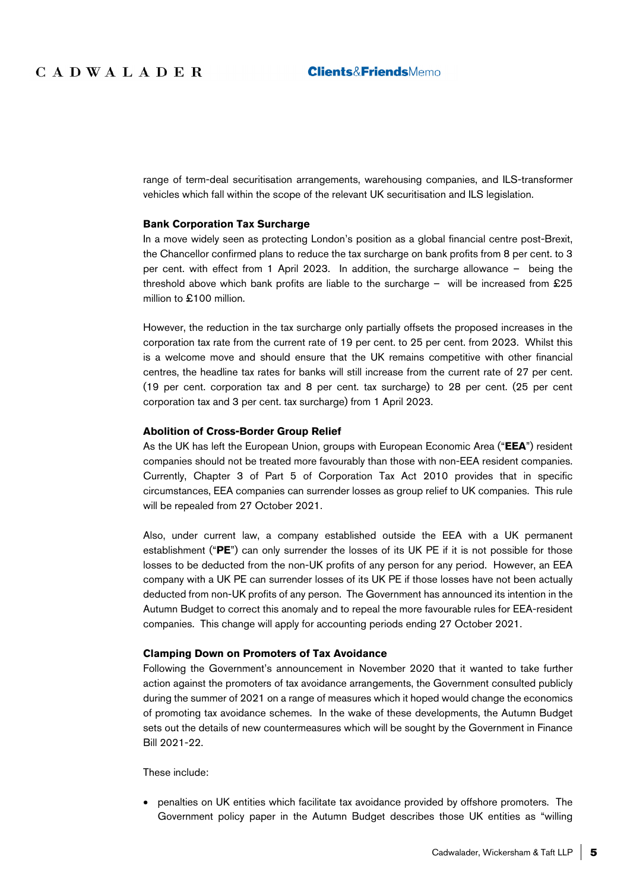range of term-deal securitisation arrangements, warehousing companies, and ILS-transformer vehicles which fall within the scope of the relevant UK securitisation and ILS legislation.

#### **Bank Corporation Tax Surcharge**

In a move widely seen as protecting London's position as a global financial centre post-Brexit, the Chancellor confirmed plans to reduce the tax surcharge on bank profits from 8 per cent. to 3 per cent. with effect from 1 April 2023. In addition, the surcharge allowance – being the threshold above which bank profits are liable to the surcharge – will be increased from £25 million to £100 million.

However, the reduction in the tax surcharge only partially offsets the proposed increases in the corporation tax rate from the current rate of 19 per cent. to 25 per cent. from 2023. Whilst this is a welcome move and should ensure that the UK remains competitive with other financial centres, the headline tax rates for banks will still increase from the current rate of 27 per cent. (19 per cent. corporation tax and 8 per cent. tax surcharge) to 28 per cent. (25 per cent corporation tax and 3 per cent. tax surcharge) from 1 April 2023.

#### **Abolition of Cross-Border Group Relief**

As the UK has left the European Union, groups with European Economic Area ("**EEA**") resident companies should not be treated more favourably than those with non-EEA resident companies. Currently, Chapter 3 of Part 5 of Corporation Tax Act 2010 provides that in specific circumstances, EEA companies can surrender losses as group relief to UK companies. This rule will be repealed from 27 October 2021.

Also, under current law, a company established outside the EEA with a UK permanent establishment ("**PE**") can only surrender the losses of its UK PE if it is not possible for those losses to be deducted from the non-UK profits of any person for any period. However, an EEA company with a UK PE can surrender losses of its UK PE if those losses have not been actually deducted from non-UK profits of any person. The Government has announced its intention in the Autumn Budget to correct this anomaly and to repeal the more favourable rules for EEA-resident companies. This change will apply for accounting periods ending 27 October 2021.

#### **Clamping Down on Promoters of Tax Avoidance**

Following the Government's announcement in November 2020 that it wanted to take further action against the promoters of tax avoidance arrangements, the Government consulted publicly during the summer of 2021 on a range of measures which it hoped would change the economics of promoting tax avoidance schemes. In the wake of these developments, the Autumn Budget sets out the details of new countermeasures which will be sought by the Government in Finance Bill 2021-22.

These include:

 penalties on UK entities which facilitate tax avoidance provided by offshore promoters. The Government policy paper in the Autumn Budget describes those UK entities as "willing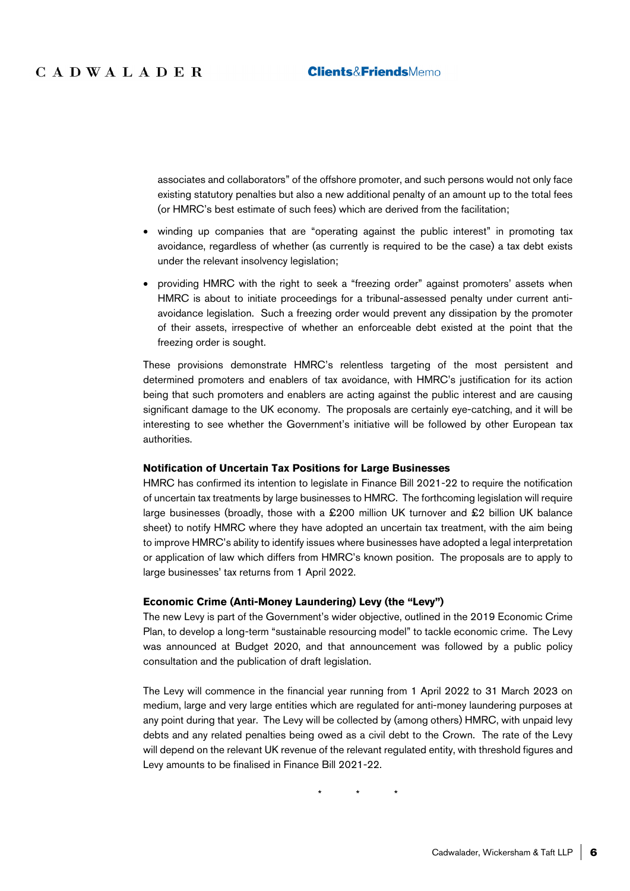associates and collaborators" of the offshore promoter, and such persons would not only face existing statutory penalties but also a new additional penalty of an amount up to the total fees (or HMRC's best estimate of such fees) which are derived from the facilitation;

- winding up companies that are "operating against the public interest" in promoting tax avoidance, regardless of whether (as currently is required to be the case) a tax debt exists under the relevant insolvency legislation;
- providing HMRC with the right to seek a "freezing order" against promoters' assets when HMRC is about to initiate proceedings for a tribunal-assessed penalty under current antiavoidance legislation. Such a freezing order would prevent any dissipation by the promoter of their assets, irrespective of whether an enforceable debt existed at the point that the freezing order is sought.

These provisions demonstrate HMRC's relentless targeting of the most persistent and determined promoters and enablers of tax avoidance, with HMRC's justification for its action being that such promoters and enablers are acting against the public interest and are causing significant damage to the UK economy. The proposals are certainly eye-catching, and it will be interesting to see whether the Government's initiative will be followed by other European tax authorities.

#### **Notification of Uncertain Tax Positions for Large Businesses**

HMRC has confirmed its intention to legislate in Finance Bill 2021-22 to require the notification of uncertain tax treatments by large businesses to HMRC. The forthcoming legislation will require large businesses (broadly, those with a £200 million UK turnover and £2 billion UK balance sheet) to notify HMRC where they have adopted an uncertain tax treatment, with the aim being to improve HMRC's ability to identify issues where businesses have adopted a legal interpretation or application of law which differs from HMRC's known position. The proposals are to apply to large businesses' tax returns from 1 April 2022.

#### **Economic Crime (Anti-Money Laundering) Levy (the "Levy")**

The new Levy is part of the Government's wider objective, outlined in the 2019 Economic Crime Plan, to develop a long-term "sustainable resourcing model" to tackle economic crime. The Levy was announced at Budget 2020, and that announcement was followed by a public policy consultation and the publication of draft legislation.

The Levy will commence in the financial year running from 1 April 2022 to 31 March 2023 on medium, large and very large entities which are regulated for anti-money laundering purposes at any point during that year. The Levy will be collected by (among others) HMRC, with unpaid levy debts and any related penalties being owed as a civil debt to the Crown. The rate of the Levy will depend on the relevant UK revenue of the relevant regulated entity, with threshold figures and Levy amounts to be finalised in Finance Bill 2021-22.

\* \* \*